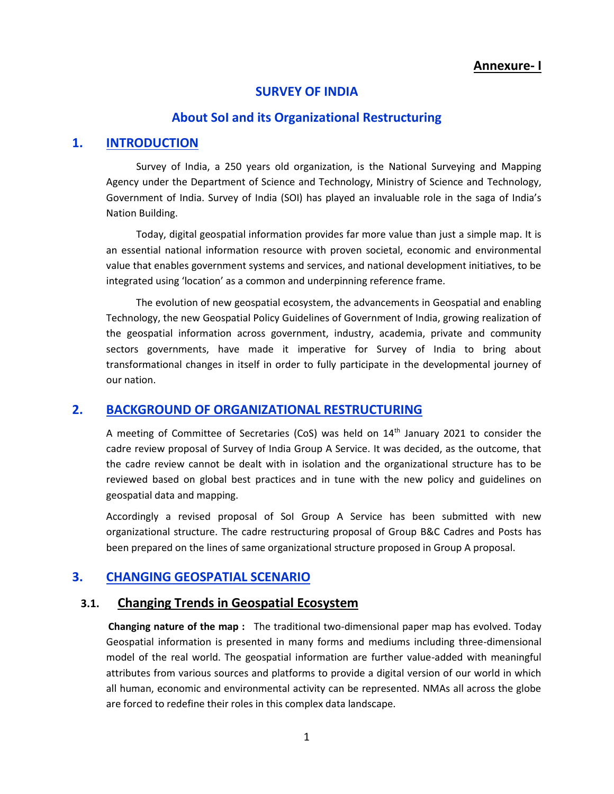### **Annexure- I**

#### **SURVEY OF INDIA**

#### **About SoI and its Organizational Restructuring**

### **1. INTRODUCTION**

Survey of India, a 250 years old organization, is the National Surveying and Mapping Agency under the Department of Science and Technology, Ministry of Science and Technology, Government of India. Survey of India (SOI) has played an invaluable role in the saga of India's Nation Building.

Today, digital geospatial information provides far more value than just a simple map. It is an essential national information resource with proven societal, economic and environmental value that enables government systems and services, and national development initiatives, to be integrated using 'location' as a common and underpinning reference frame.

The evolution of new geospatial ecosystem, the advancements in Geospatial and enabling Technology, the new Geospatial Policy Guidelines of Government of India, growing realization of the geospatial information across government, industry, academia, private and community sectors governments, have made it imperative for Survey of India to bring about transformational changes in itself in order to fully participate in the developmental journey of our nation.

### **2. BACKGROUND OF ORGANIZATIONAL RESTRUCTURING**

A meeting of Committee of Secretaries (CoS) was held on  $14<sup>th</sup>$  January 2021 to consider the cadre review proposal of Survey of India Group A Service. It was decided, as the outcome, that the cadre review cannot be dealt with in isolation and the organizational structure has to be reviewed based on global best practices and in tune with the new policy and guidelines on geospatial data and mapping.

Accordingly a revised proposal of SoI Group A Service has been submitted with new organizational structure. The cadre restructuring proposal of Group B&C Cadres and Posts has been prepared on the lines of same organizational structure proposed in Group A proposal.

### **3. CHANGING GEOSPATIAL SCENARIO**

## **3.1. Changing Trends in Geospatial Ecosystem**

**Changing nature of the map :** The traditional two-dimensional paper map has evolved. Today Geospatial information is presented in many forms and mediums including three-dimensional model of the real world. The geospatial information are further value-added with meaningful attributes from various sources and platforms to provide a digital version of our world in which all human, economic and environmental activity can be represented. NMAs all across the globe are forced to redefine their roles in this complex data landscape.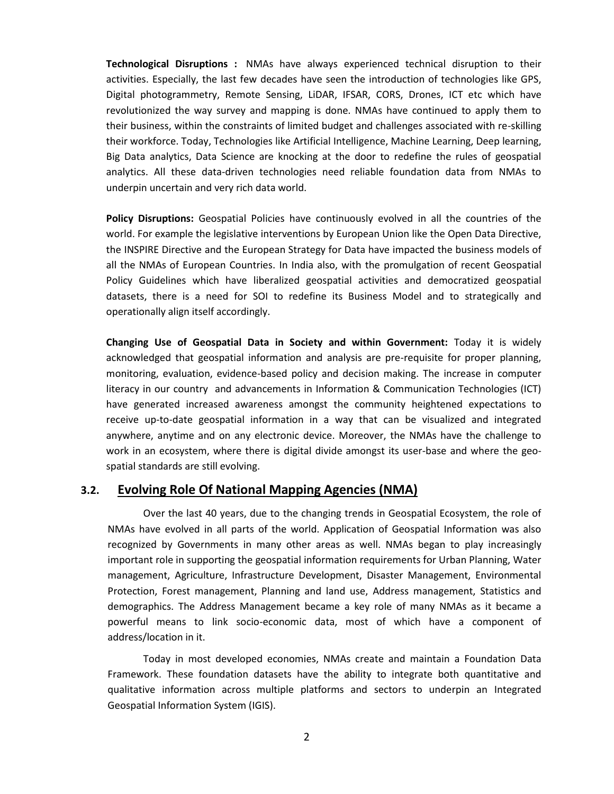**Technological Disruptions :** NMAs have always experienced technical disruption to their activities. Especially, the last few decades have seen the introduction of technologies like GPS, Digital photogrammetry, Remote Sensing, LiDAR, IFSAR, CORS, Drones, ICT etc which have revolutionized the way survey and mapping is done. NMAs have continued to apply them to their business, within the constraints of limited budget and challenges associated with re-skilling their workforce. Today, Technologies like Artificial Intelligence, Machine Learning, Deep learning, Big Data analytics, Data Science are knocking at the door to redefine the rules of geospatial analytics. All these data-driven technologies need reliable foundation data from NMAs to underpin uncertain and very rich data world.

**Policy Disruptions:** Geospatial Policies have continuously evolved in all the countries of the world. For example the legislative interventions by European Union like the Open Data Directive, the INSPIRE Directive and the European Strategy for Data have impacted the business models of all the NMAs of European Countries. In India also, with the promulgation of recent Geospatial Policy Guidelines which have liberalized geospatial activities and democratized geospatial datasets, there is a need for SOI to redefine its Business Model and to strategically and operationally align itself accordingly.

**Changing Use of Geospatial Data in Society and within Government:** Today it is widely acknowledged that geospatial information and analysis are pre-requisite for proper planning, monitoring, evaluation, evidence-based policy and decision making. The increase in computer literacy in our country and advancements in Information & Communication Technologies (ICT) have generated increased awareness amongst the community heightened expectations to receive up-to-date geospatial information in a way that can be visualized and integrated anywhere, anytime and on any electronic device. Moreover, the NMAs have the challenge to work in an ecosystem, where there is digital divide amongst its user-base and where the geospatial standards are still evolving.

### **3.2. Evolving Role Of National Mapping Agencies (NMA)**

Over the last 40 years, due to the changing trends in Geospatial Ecosystem, the role of NMAs have evolved in all parts of the world. Application of Geospatial Information was also recognized by Governments in many other areas as well. NMAs began to play increasingly important role in supporting the geospatial information requirements for Urban Planning, Water management, Agriculture, Infrastructure Development, Disaster Management, Environmental Protection, Forest management, Planning and land use, Address management, Statistics and demographics. The Address Management became a key role of many NMAs as it became a powerful means to link socio-economic data, most of which have a component of address/location in it.

Today in most developed economies, NMAs create and maintain a Foundation Data Framework. These foundation datasets have the ability to integrate both quantitative and qualitative information across multiple platforms and sectors to underpin an Integrated Geospatial Information System (IGIS).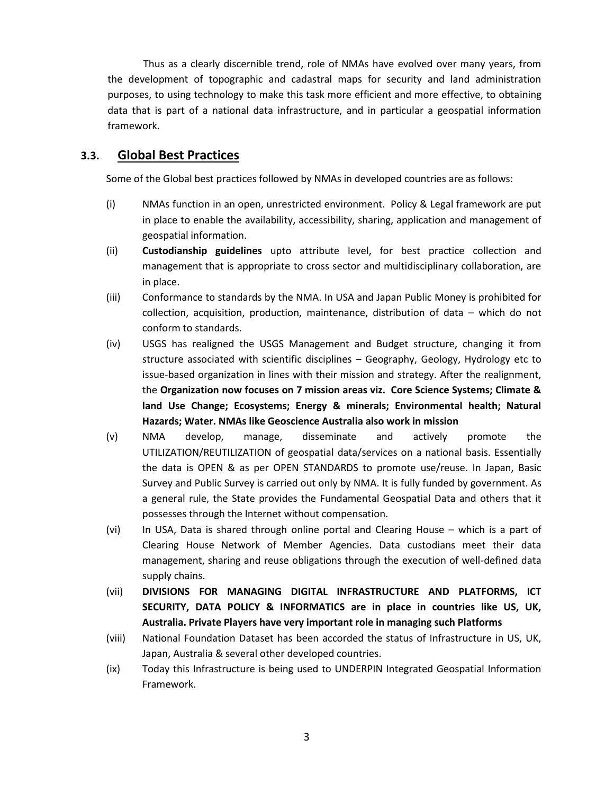Thus as a clearly discernible trend, role of NMAs have evolved over many years, from the development of topographic and cadastral maps for security and land administration purposes, to using technology to make this task more efficient and more effective, to obtaining data that is part of a national data infrastructure, and in particular a geospatial information framework.

# **3.3. Global Best Practices**

Some of the Global best practices followed by NMAs in developed countries are as follows:

- (i) NMAs function in an open, unrestricted environment. Policy & Legal framework are put in place to enable the availability, accessibility, sharing, application and management of geospatial information.
- (ii) **Custodianship guidelines** upto attribute level, for best practice collection and management that is appropriate to cross sector and multidisciplinary collaboration, are in place.
- (iii) Conformance to standards by the NMA. In USA and Japan Public Money is prohibited for collection, acquisition, production, maintenance, distribution of data – which do not conform to standards.
- (iv) USGS has realigned the USGS Management and Budget structure, changing it from structure associated with scientific disciplines – Geography, Geology, Hydrology etc to issue-based organization in lines with their mission and strategy. After the realignment, the **Organization now focuses on 7 mission areas viz. Core Science Systems; Climate & land Use Change; Ecosystems; Energy & minerals; Environmental health; Natural Hazards; Water. NMAs like Geoscience Australia also work in mission**
- (v) NMA develop, manage, disseminate and actively promote the UTILIZATION/REUTILIZATION of geospatial data/services on a national basis. Essentially the data is OPEN & as per OPEN STANDARDS to promote use/reuse. In Japan, Basic Survey and Public Survey is carried out only by NMA. It is fully funded by government. As a general rule, the State provides the Fundamental Geospatial Data and others that it possesses through the Internet without compensation.
- (vi) In USA, Data is shared through online portal and Clearing House which is a part of Clearing House Network of Member Agencies. Data custodians meet their data management, sharing and reuse obligations through the execution of well-defined data supply chains.
- (vii) **DIVISIONS FOR MANAGING DIGITAL INFRASTRUCTURE AND PLATFORMS, ICT SECURITY, DATA POLICY & INFORMATICS are in place in countries like US, UK, Australia. Private Players have very important role in managing such Platforms**
- (viii) National Foundation Dataset has been accorded the status of Infrastructure in US, UK, Japan, Australia & several other developed countries.
- (ix) Today this Infrastructure is being used to UNDERPIN Integrated Geospatial Information Framework.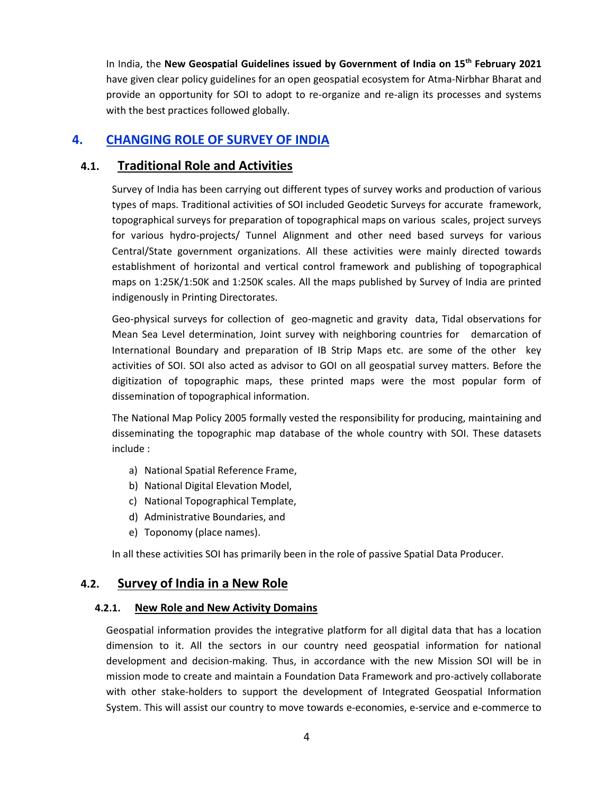In India, the **New Geospatial Guidelines issued by Government of India on 15th February 2021** have given clear policy guidelines for an open geospatial ecosystem for Atma-Nirbhar Bharat and provide an opportunity for SOI to adopt to re-organize and re-align its processes and systems with the best practices followed globally.

# **4. CHANGING ROLE OF SURVEY OF INDIA**

# **4.1. Traditional Role and Activities**

Survey of India has been carrying out different types of survey works and production of various types of maps. Traditional activities of SOI included Geodetic Surveys for accurate framework, topographical surveys for preparation of topographical maps on various scales, project surveys for various hydro-projects/ Tunnel Alignment and other need based surveys for various Central/State government organizations. All these activities were mainly directed towards establishment of horizontal and vertical control framework and publishing of topographical maps on 1:25K/1:50K and 1:250K scales. All the maps published by Survey of India are printed indigenously in Printing Directorates.

Geo-physical surveys for collection of geo-magnetic and gravity data, Tidal observations for Mean Sea Level determination, Joint survey with neighboring countries for demarcation of International Boundary and preparation of IB Strip Maps etc. are some of the other key activities of SOI. SOI also acted as advisor to GOI on all geospatial survey matters. Before the digitization of topographic maps, these printed maps were the most popular form of dissemination of topographical information.

The National Map Policy 2005 formally vested the responsibility for producing, maintaining and disseminating the topographic map database of the whole country with SOI. These datasets include :

- a) National Spatial Reference Frame,
- b) National Digital Elevation Model,
- c) National Topographical Template,
- d) Administrative Boundaries, and
- e) Toponomy (place names).

In all these activities SOI has primarily been in the role of passive Spatial Data Producer.

# **4.2. Survey of India in a New Role**

#### **4.2.1. New Role and New Activity Domains**

Geospatial information provides the integrative platform for all digital data that has a location dimension to it. All the sectors in our country need geospatial information for national development and decision-making. Thus, in accordance with the new Mission SOI will be in mission mode to create and maintain a Foundation Data Framework and pro-actively collaborate with other stake-holders to support the development of Integrated Geospatial Information System. This will assist our country to move towards e-economies, e-service and e-commerce to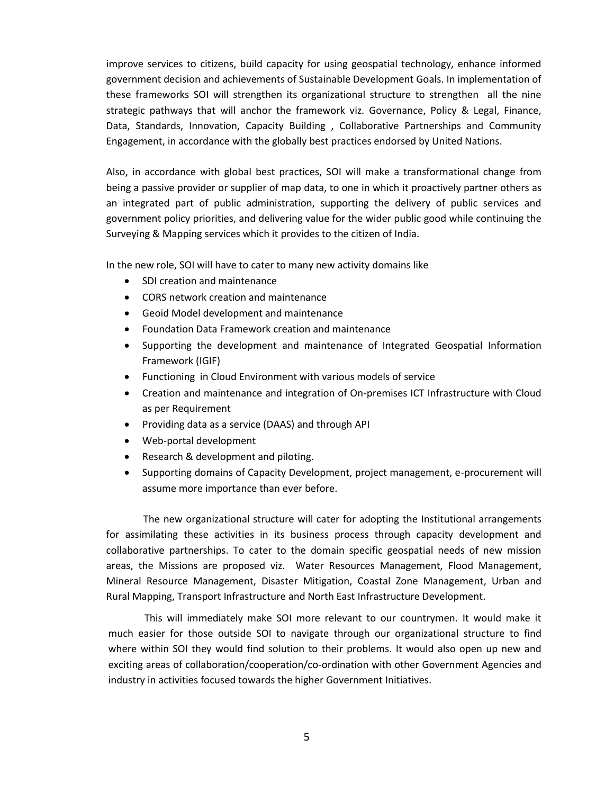improve services to citizens, build capacity for using geospatial technology, enhance informed government decision and achievements of Sustainable Development Goals. In implementation of these frameworks SOI will strengthen its organizational structure to strengthen all the nine strategic pathways that will anchor the framework viz. Governance, Policy & Legal, Finance, Data, Standards, Innovation, Capacity Building , Collaborative Partnerships and Community Engagement, in accordance with the globally best practices endorsed by United Nations.

Also, in accordance with global best practices, SOI will make a transformational change from being a passive provider or supplier of map data, to one in which it proactively partner others as an integrated part of public administration, supporting the delivery of public services and government policy priorities, and delivering value for the wider public good while continuing the Surveying & Mapping services which it provides to the citizen of India.

In the new role, SOI will have to cater to many new activity domains like

- SDI creation and maintenance
- CORS network creation and maintenance
- Geoid Model development and maintenance
- Foundation Data Framework creation and maintenance
- Supporting the development and maintenance of Integrated Geospatial Information Framework (IGIF)
- Functioning in Cloud Environment with various models of service
- Creation and maintenance and integration of On-premises ICT Infrastructure with Cloud as per Requirement
- Providing data as a service (DAAS) and through API
- Web-portal development
- Research & development and piloting.
- Supporting domains of Capacity Development, project management, e-procurement will assume more importance than ever before.

The new organizational structure will cater for adopting the Institutional arrangements for assimilating these activities in its business process through capacity development and collaborative partnerships. To cater to the domain specific geospatial needs of new mission areas, the Missions are proposed viz. Water Resources Management, Flood Management, Mineral Resource Management, Disaster Mitigation, Coastal Zone Management, Urban and Rural Mapping, Transport Infrastructure and North East Infrastructure Development.

This will immediately make SOI more relevant to our countrymen. It would make it much easier for those outside SOI to navigate through our organizational structure to find where within SOI they would find solution to their problems. It would also open up new and exciting areas of collaboration/cooperation/co-ordination with other Government Agencies and industry in activities focused towards the higher Government Initiatives.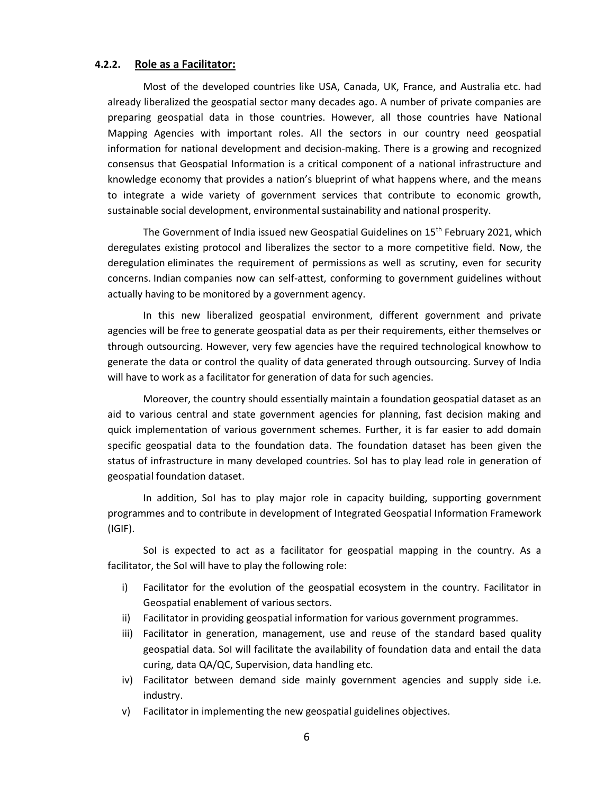#### **4.2.2. Role as a Facilitator:**

Most of the developed countries like USA, Canada, UK, France, and Australia etc. had already liberalized the geospatial sector many decades ago. A number of private companies are preparing geospatial data in those countries. However, all those countries have National Mapping Agencies with important roles. All the sectors in our country need geospatial information for national development and decision-making. There is a growing and recognized consensus that Geospatial Information is a critical component of a national infrastructure and knowledge economy that provides a nation's blueprint of what happens where, and the means to integrate a wide variety of government services that contribute to economic growth, sustainable social development, environmental sustainability and national prosperity.

The Government of India issued new Geospatial Guidelines on 15<sup>th</sup> February 2021, which deregulates existing protocol and liberalizes the sector to a more competitive field. Now, the deregulation eliminates the requirement of permissions as well as scrutiny, even for security concerns. Indian companies now can self-attest, conforming to government guidelines without actually having to be monitored by a government agency.

In this new liberalized geospatial environment, different government and private agencies will be free to generate geospatial data as per their requirements, either themselves or through outsourcing. However, very few agencies have the required technological knowhow to generate the data or control the quality of data generated through outsourcing. Survey of India will have to work as a facilitator for generation of data for such agencies.

Moreover, the country should essentially maintain a foundation geospatial dataset as an aid to various central and state government agencies for planning, fast decision making and quick implementation of various government schemes. Further, it is far easier to add domain specific geospatial data to the foundation data. The foundation dataset has been given the status of infrastructure in many developed countries. SoI has to play lead role in generation of geospatial foundation dataset.

In addition, SoI has to play major role in capacity building, supporting government programmes and to contribute in development of Integrated Geospatial Information Framework (IGIF).

SoI is expected to act as a facilitator for geospatial mapping in the country. As a facilitator, the SoI will have to play the following role:

- i) Facilitator for the evolution of the geospatial ecosystem in the country. Facilitator in Geospatial enablement of various sectors.
- ii) Facilitator in providing geospatial information for various government programmes.
- iii) Facilitator in generation, management, use and reuse of the standard based quality geospatial data. SoI will facilitate the availability of foundation data and entail the data curing, data QA/QC, Supervision, data handling etc.
- iv) Facilitator between demand side mainly government agencies and supply side i.e. industry.
- v) Facilitator in implementing the new geospatial guidelines objectives.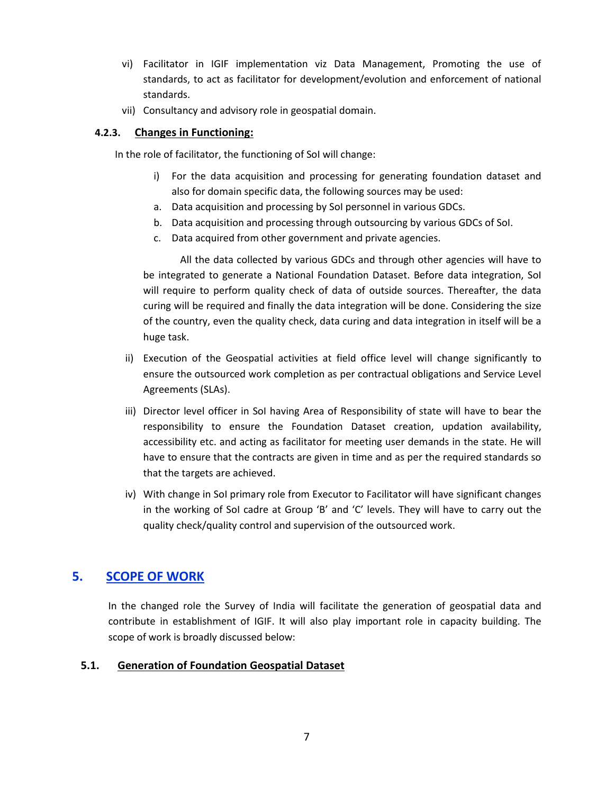- vi) Facilitator in IGIF implementation viz Data Management, Promoting the use of standards, to act as facilitator for development/evolution and enforcement of national standards.
- vii) Consultancy and advisory role in geospatial domain.

### **4.2.3. Changes in Functioning:**

In the role of facilitator, the functioning of SoI will change:

- i) For the data acquisition and processing for generating foundation dataset and also for domain specific data, the following sources may be used:
- a. Data acquisition and processing by SoI personnel in various GDCs.
- b. Data acquisition and processing through outsourcing by various GDCs of SoI.
- c. Data acquired from other government and private agencies.

All the data collected by various GDCs and through other agencies will have to be integrated to generate a National Foundation Dataset. Before data integration, Sol will require to perform quality check of data of outside sources. Thereafter, the data curing will be required and finally the data integration will be done. Considering the size of the country, even the quality check, data curing and data integration in itself will be a huge task.

- ii) Execution of the Geospatial activities at field office level will change significantly to ensure the outsourced work completion as per contractual obligations and Service Level Agreements (SLAs).
- iii) Director level officer in SoI having Area of Responsibility of state will have to bear the responsibility to ensure the Foundation Dataset creation, updation availability, accessibility etc. and acting as facilitator for meeting user demands in the state. He will have to ensure that the contracts are given in time and as per the required standards so that the targets are achieved.
- iv) With change in SoI primary role from Executor to Facilitator will have significant changes in the working of SoI cadre at Group 'B' and 'C' levels. They will have to carry out the quality check/quality control and supervision of the outsourced work.

# **5. SCOPE OF WORK**

In the changed role the Survey of India will facilitate the generation of geospatial data and contribute in establishment of IGIF. It will also play important role in capacity building. The scope of work is broadly discussed below:

### **5.1. Generation of Foundation Geospatial Dataset**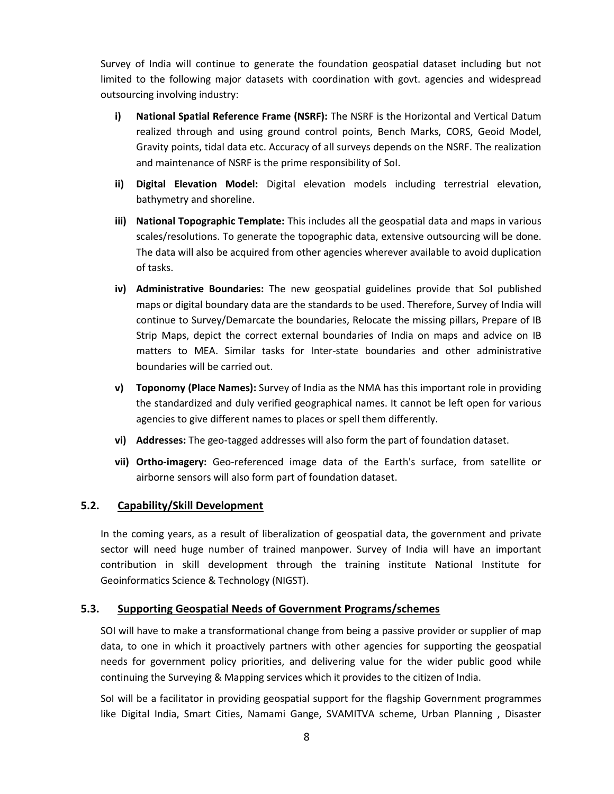Survey of India will continue to generate the foundation geospatial dataset including but not limited to the following major datasets with coordination with govt. agencies and widespread outsourcing involving industry:

- **i) National Spatial Reference Frame (NSRF):** The NSRF is the Horizontal and Vertical Datum realized through and using ground control points, Bench Marks, CORS, Geoid Model, Gravity points, tidal data etc. Accuracy of all surveys depends on the NSRF. The realization and maintenance of NSRF is the prime responsibility of SoI.
- **ii) Digital Elevation Model:** Digital elevation models including terrestrial elevation, bathymetry and shoreline.
- **iii) National Topographic Template:** This includes all the geospatial data and maps in various scales/resolutions. To generate the topographic data, extensive outsourcing will be done. The data will also be acquired from other agencies wherever available to avoid duplication of tasks.
- **iv) Administrative Boundaries:** The new geospatial guidelines provide that SoI published maps or digital boundary data are the standards to be used. Therefore, Survey of India will continue to Survey/Demarcate the boundaries, Relocate the missing pillars, Prepare of IB Strip Maps, depict the correct external boundaries of India on maps and advice on IB matters to MEA. Similar tasks for Inter-state boundaries and other administrative boundaries will be carried out.
- **v) Toponomy (Place Names):** Survey of India as the NMA has this important role in providing the standardized and duly verified geographical names. It cannot be left open for various agencies to give different names to places or spell them differently.
- **vi) Addresses:** The geo-tagged addresses will also form the part of foundation dataset.
- **vii) Ortho-imagery:** Geo-referenced image data of the Earth's surface, from satellite or airborne sensors will also form part of foundation dataset.

### **5.2. Capability/Skill Development**

In the coming years, as a result of liberalization of geospatial data, the government and private sector will need huge number of trained manpower. Survey of India will have an important contribution in skill development through the training institute National Institute for Geoinformatics Science & Technology (NIGST).

#### **5.3. Supporting Geospatial Needs of Government Programs/schemes**

SOI will have to make a transformational change from being a passive provider or supplier of map data, to one in which it proactively partners with other agencies for supporting the geospatial needs for government policy priorities, and delivering value for the wider public good while continuing the Surveying & Mapping services which it provides to the citizen of India.

SoI will be a facilitator in providing geospatial support for the flagship Government programmes like Digital India, Smart Cities, Namami Gange, SVAMITVA scheme, Urban Planning , Disaster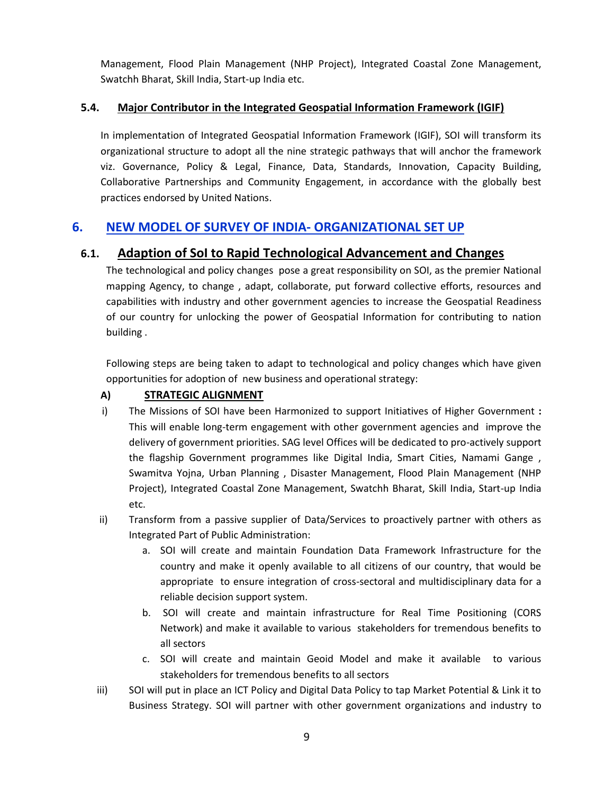Management, Flood Plain Management (NHP Project), Integrated Coastal Zone Management, Swatchh Bharat, Skill India, Start-up India etc.

# **5.4. Major Contributor in the Integrated Geospatial Information Framework (IGIF)**

In implementation of Integrated Geospatial Information Framework (IGIF), SOI will transform its organizational structure to adopt all the nine strategic pathways that will anchor the framework viz. Governance, Policy & Legal, Finance, Data, Standards, Innovation, Capacity Building, Collaborative Partnerships and Community Engagement, in accordance with the globally best practices endorsed by United Nations.

# **6. NEW MODEL OF SURVEY OF INDIA- ORGANIZATIONAL SET UP**

# **6.1. Adaption of SoI to Rapid Technological Advancement and Changes**

The technological and policy changes pose a great responsibility on SOI, as the premier National mapping Agency, to change , adapt, collaborate, put forward collective efforts, resources and capabilities with industry and other government agencies to increase the Geospatial Readiness of our country for unlocking the power of Geospatial Information for contributing to nation building .

Following steps are being taken to adapt to technological and policy changes which have given opportunities for adoption of new business and operational strategy:

# **A) STRATEGIC ALIGNMENT**

- i) The Missions of SOI have been Harmonized to support Initiatives of Higher Government **:** This will enable long-term engagement with other government agencies and improve the delivery of government priorities. SAG level Offices will be dedicated to pro-actively support the flagship Government programmes like Digital India, Smart Cities, Namami Gange , Swamitva Yojna, Urban Planning , Disaster Management, Flood Plain Management (NHP Project), Integrated Coastal Zone Management, Swatchh Bharat, Skill India, Start-up India etc.
- ii) Transform from a passive supplier of Data/Services to proactively partner with others as Integrated Part of Public Administration:
	- a. SOI will create and maintain Foundation Data Framework Infrastructure for the country and make it openly available to all citizens of our country, that would be appropriate to ensure integration of cross-sectoral and multidisciplinary data for a reliable decision support system.
	- b. SOI will create and maintain infrastructure for Real Time Positioning (CORS Network) and make it available to various stakeholders for tremendous benefits to all sectors
	- c. SOI will create and maintain Geoid Model and make it available to various stakeholders for tremendous benefits to all sectors
- iii) SOI will put in place an ICT Policy and Digital Data Policy to tap Market Potential & Link it to Business Strategy. SOI will partner with other government organizations and industry to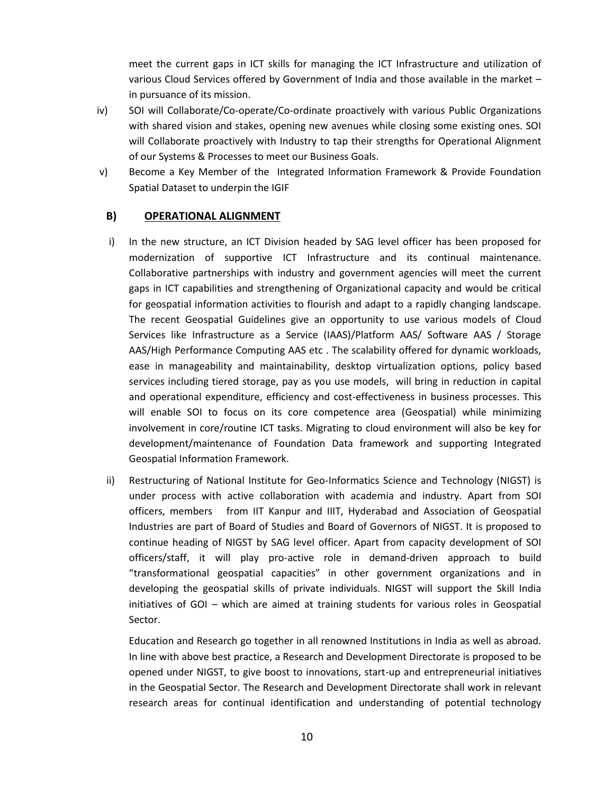meet the current gaps in ICT skills for managing the ICT Infrastructure and utilization of various Cloud Services offered by Government of India and those available in the market – in pursuance of its mission.

- iv) SOI will Collaborate/Co-operate/Co-ordinate proactively with various Public Organizations with shared vision and stakes, opening new avenues while closing some existing ones. SOI will Collaborate proactively with Industry to tap their strengths for Operational Alignment of our Systems & Processes to meet our Business Goals.
- v) Become a Key Member of the Integrated Information Framework & Provide Foundation Spatial Dataset to underpin the IGIF

### **B) OPERATIONAL ALIGNMENT**

- i) In the new structure, an ICT Division headed by SAG level officer has been proposed for modernization of supportive ICT Infrastructure and its continual maintenance. Collaborative partnerships with industry and government agencies will meet the current gaps in ICT capabilities and strengthening of Organizational capacity and would be critical for geospatial information activities to flourish and adapt to a rapidly changing landscape. The recent Geospatial Guidelines give an opportunity to use various models of Cloud Services like Infrastructure as a Service (IAAS)/Platform AAS/ Software AAS / Storage AAS/High Performance Computing AAS etc . The scalability offered for dynamic workloads, ease in manageability and maintainability, desktop virtualization options, policy based services including tiered storage, pay as you use models, will bring in reduction in capital and operational expenditure, efficiency and cost-effectiveness in business processes. This will enable SOI to focus on its core competence area (Geospatial) while minimizing involvement in core/routine ICT tasks. Migrating to cloud environment will also be key for development/maintenance of Foundation Data framework and supporting Integrated Geospatial Information Framework.
- ii) Restructuring of National Institute for Geo-Informatics Science and Technology (NIGST) is under process with active collaboration with academia and industry. Apart from SOI officers, members from IIT Kanpur and IIIT, Hyderabad and Association of Geospatial Industries are part of Board of Studies and Board of Governors of NIGST. It is proposed to continue heading of NIGST by SAG level officer. Apart from capacity development of SOI officers/staff, it will play pro-active role in demand-driven approach to build "transformational geospatial capacities" in other government organizations and in developing the geospatial skills of private individuals. NIGST will support the Skill India initiatives of GOI – which are aimed at training students for various roles in Geospatial Sector.

Education and Research go together in all renowned Institutions in India as well as abroad. In line with above best practice, a Research and Development Directorate is proposed to be opened under NIGST, to give boost to innovations, start-up and entrepreneurial initiatives in the Geospatial Sector. The Research and Development Directorate shall work in relevant research areas for continual identification and understanding of potential technology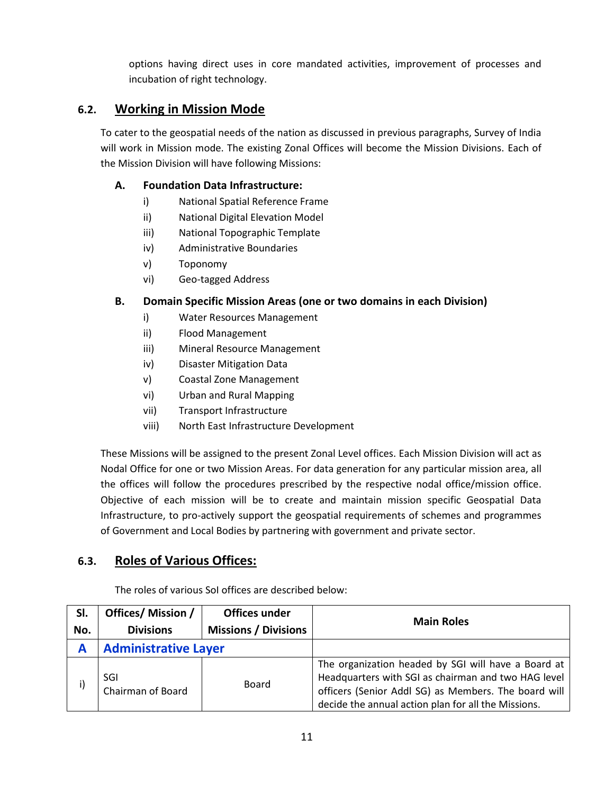options having direct uses in core mandated activities, improvement of processes and incubation of right technology.

# **6.2. Working in Mission Mode**

To cater to the geospatial needs of the nation as discussed in previous paragraphs, Survey of India will work in Mission mode. The existing Zonal Offices will become the Mission Divisions. Each of the Mission Division will have following Missions:

## **A. Foundation Data Infrastructure:**

- i) National Spatial Reference Frame
- ii) National Digital Elevation Model
- iii) National Topographic Template
- iv) Administrative Boundaries
- v) Toponomy
- vi) Geo-tagged Address

## **B. Domain Specific Mission Areas (one or two domains in each Division)**

- i) Water Resources Management
- ii) Flood Management
- iii) Mineral Resource Management
- iv) Disaster Mitigation Data
- v) Coastal Zone Management
- vi) Urban and Rural Mapping
- vii) Transport Infrastructure
- viii) North East Infrastructure Development

These Missions will be assigned to the present Zonal Level offices. Each Mission Division will act as Nodal Office for one or two Mission Areas. For data generation for any particular mission area, all the offices will follow the procedures prescribed by the respective nodal office/mission office. Objective of each mission will be to create and maintain mission specific Geospatial Data Infrastructure, to pro-actively support the geospatial requirements of schemes and programmes of Government and Local Bodies by partnering with government and private sector.

# **6.3. Roles of Various Offices:**

The roles of various SoI offices are described below:

| SI.<br>No. | Offices/ Mission /<br><b>Divisions</b> | Offices under<br><b>Missions / Divisions</b> | <b>Main Roles</b>                                                                                                                                                                                                         |
|------------|----------------------------------------|----------------------------------------------|---------------------------------------------------------------------------------------------------------------------------------------------------------------------------------------------------------------------------|
| A          | <b>Administrative Layer</b>            |                                              |                                                                                                                                                                                                                           |
| i)         | SGI<br>Chairman of Board               | Board                                        | The organization headed by SGI will have a Board at<br>Headquarters with SGI as chairman and two HAG level<br>officers (Senior Addl SG) as Members. The board will<br>decide the annual action plan for all the Missions. |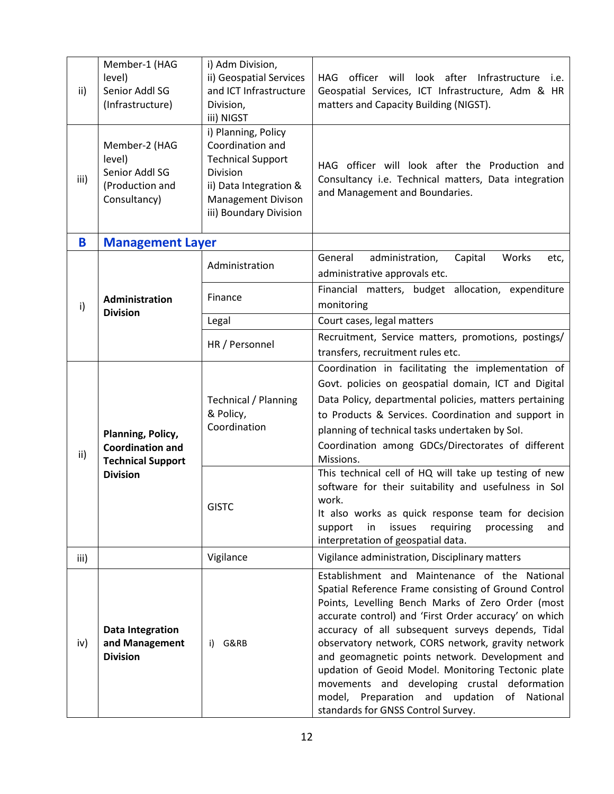| ii)          | Member-1 (HAG<br>level)<br>Senior Addl SG<br>(Infrastructure)                               | i) Adm Division,<br>ii) Geospatial Services<br>and ICT Infrastructure<br>Division,                                                        | HAG officer will look after Infrastructure i.e.<br>Geospatial Services, ICT Infrastructure, Adm & HR<br>matters and Capacity Building (NIGST).                                                                                                                                                                                                                                                                                                                                                                                                                                  |
|--------------|---------------------------------------------------------------------------------------------|-------------------------------------------------------------------------------------------------------------------------------------------|---------------------------------------------------------------------------------------------------------------------------------------------------------------------------------------------------------------------------------------------------------------------------------------------------------------------------------------------------------------------------------------------------------------------------------------------------------------------------------------------------------------------------------------------------------------------------------|
|              |                                                                                             | iii) NIGST<br>i) Planning, Policy                                                                                                         |                                                                                                                                                                                                                                                                                                                                                                                                                                                                                                                                                                                 |
| iii)         | Member-2 (HAG<br>level)<br>Senior Addl SG<br>(Production and<br>Consultancy)                | Coordination and<br><b>Technical Support</b><br>Division<br>ii) Data Integration &<br><b>Management Divison</b><br>iii) Boundary Division | HAG officer will look after the Production and<br>Consultancy i.e. Technical matters, Data integration<br>and Management and Boundaries.                                                                                                                                                                                                                                                                                                                                                                                                                                        |
| B            | <b>Management Layer</b>                                                                     |                                                                                                                                           |                                                                                                                                                                                                                                                                                                                                                                                                                                                                                                                                                                                 |
| $\mathsf{i}$ | <b>Administration</b><br><b>Division</b>                                                    | Administration                                                                                                                            | General<br>administration,<br>Capital<br>Works<br>etc,<br>administrative approvals etc.                                                                                                                                                                                                                                                                                                                                                                                                                                                                                         |
|              |                                                                                             | Finance                                                                                                                                   | Financial matters, budget allocation, expenditure<br>monitoring                                                                                                                                                                                                                                                                                                                                                                                                                                                                                                                 |
|              |                                                                                             | Legal                                                                                                                                     | Court cases, legal matters                                                                                                                                                                                                                                                                                                                                                                                                                                                                                                                                                      |
|              |                                                                                             | HR / Personnel                                                                                                                            | Recruitment, Service matters, promotions, postings/<br>transfers, recruitment rules etc.                                                                                                                                                                                                                                                                                                                                                                                                                                                                                        |
| ii)          | Planning, Policy,<br><b>Coordination and</b><br><b>Technical Support</b><br><b>Division</b> | <b>Technical / Planning</b><br>& Policy,<br>Coordination                                                                                  | Coordination in facilitating the implementation of<br>Govt. policies on geospatial domain, ICT and Digital<br>Data Policy, departmental policies, matters pertaining<br>to Products & Services. Coordination and support in<br>planning of technical tasks undertaken by Sol.<br>Coordination among GDCs/Directorates of different<br>Missions.                                                                                                                                                                                                                                 |
|              |                                                                                             | <b>GISTC</b>                                                                                                                              | This technical cell of HQ will take up testing of new<br>software for their suitability and usefulness in Sol<br>work.<br>It also works as quick response team for decision<br>requiring<br>support<br>in<br>issues<br>processing<br>and<br>interpretation of geospatial data.                                                                                                                                                                                                                                                                                                  |
| iii)         |                                                                                             | Vigilance                                                                                                                                 | Vigilance administration, Disciplinary matters                                                                                                                                                                                                                                                                                                                                                                                                                                                                                                                                  |
| iv)          | <b>Data Integration</b><br>and Management<br><b>Division</b>                                | G&RB<br>i)                                                                                                                                | Establishment and Maintenance of the National<br>Spatial Reference Frame consisting of Ground Control<br>Points, Levelling Bench Marks of Zero Order (most<br>accurate control) and 'First Order accuracy' on which<br>accuracy of all subsequent surveys depends, Tidal<br>observatory network, CORS network, gravity network<br>and geomagnetic points network. Development and<br>updation of Geoid Model. Monitoring Tectonic plate<br>movements and developing crustal deformation<br>model, Preparation and updation of<br>National<br>standards for GNSS Control Survey. |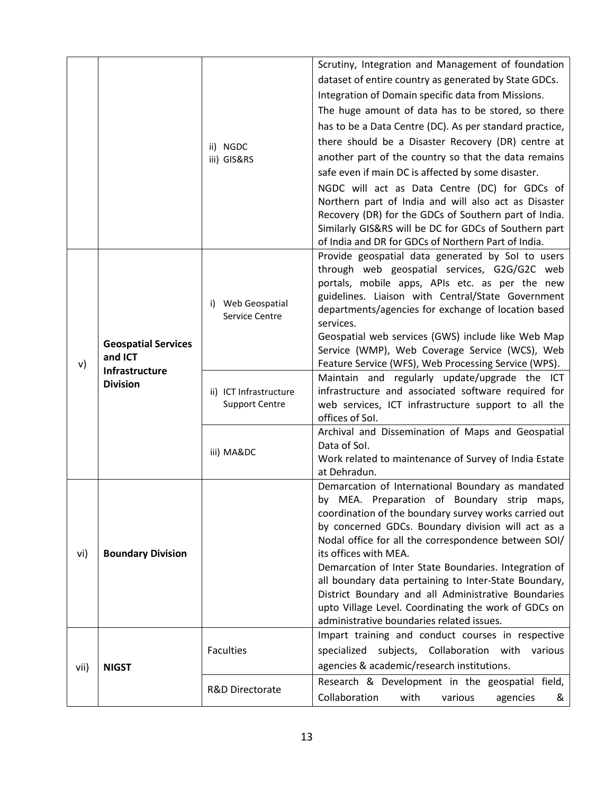|      |                                                                            |                                                 | Scrutiny, Integration and Management of foundation                                                          |
|------|----------------------------------------------------------------------------|-------------------------------------------------|-------------------------------------------------------------------------------------------------------------|
|      |                                                                            |                                                 | dataset of entire country as generated by State GDCs.                                                       |
|      |                                                                            |                                                 | Integration of Domain specific data from Missions.                                                          |
|      |                                                                            |                                                 | The huge amount of data has to be stored, so there                                                          |
|      |                                                                            |                                                 | has to be a Data Centre (DC). As per standard practice,                                                     |
|      |                                                                            | ii) NGDC<br>iii) GIS&RS                         | there should be a Disaster Recovery (DR) centre at                                                          |
|      |                                                                            |                                                 | another part of the country so that the data remains                                                        |
|      |                                                                            |                                                 | safe even if main DC is affected by some disaster.                                                          |
|      |                                                                            |                                                 |                                                                                                             |
|      |                                                                            |                                                 | NGDC will act as Data Centre (DC) for GDCs of<br>Northern part of India and will also act as Disaster       |
|      |                                                                            |                                                 | Recovery (DR) for the GDCs of Southern part of India.                                                       |
|      |                                                                            |                                                 | Similarly GIS&RS will be DC for GDCs of Southern part                                                       |
|      |                                                                            |                                                 | of India and DR for GDCs of Northern Part of India.                                                         |
|      |                                                                            |                                                 | Provide geospatial data generated by Sol to users                                                           |
|      |                                                                            | i) Web Geospatial<br>Service Centre             | through web geospatial services, G2G/G2C web                                                                |
|      |                                                                            |                                                 | portals, mobile apps, APIs etc. as per the new                                                              |
|      | <b>Geospatial Services</b><br>and ICT<br>Infrastructure<br><b>Division</b> |                                                 | guidelines. Liaison with Central/State Government<br>departments/agencies for exchange of location based    |
|      |                                                                            |                                                 | services.                                                                                                   |
|      |                                                                            |                                                 | Geospatial web services (GWS) include like Web Map                                                          |
|      |                                                                            |                                                 | Service (WMP), Web Coverage Service (WCS), Web                                                              |
| v)   |                                                                            |                                                 | Feature Service (WFS), Web Processing Service (WPS).                                                        |
|      |                                                                            |                                                 | Maintain and regularly update/upgrade the ICT                                                               |
|      |                                                                            | ii) ICT Infrastructure<br><b>Support Centre</b> | infrastructure and associated software required for                                                         |
|      |                                                                            |                                                 | web services, ICT infrastructure support to all the<br>offices of Sol.                                      |
|      |                                                                            | iii) MA&DC                                      | Archival and Dissemination of Maps and Geospatial                                                           |
|      |                                                                            |                                                 | Data of Sol.                                                                                                |
|      |                                                                            |                                                 | Work related to maintenance of Survey of India Estate                                                       |
|      |                                                                            |                                                 | at Dehradun.                                                                                                |
|      | <b>Boundary Division</b><br><b>NIGST</b>                                   |                                                 | Demarcation of International Boundary as mandated                                                           |
|      |                                                                            |                                                 | by MEA. Preparation of Boundary strip maps,                                                                 |
|      |                                                                            |                                                 | coordination of the boundary survey works carried out<br>by concerned GDCs. Boundary division will act as a |
|      |                                                                            |                                                 | Nodal office for all the correspondence between SOI/                                                        |
| vi)  |                                                                            |                                                 | its offices with MEA.                                                                                       |
|      |                                                                            |                                                 | Demarcation of Inter State Boundaries. Integration of                                                       |
| vii) |                                                                            |                                                 | all boundary data pertaining to Inter-State Boundary,                                                       |
|      |                                                                            |                                                 | District Boundary and all Administrative Boundaries                                                         |
|      |                                                                            |                                                 | upto Village Level. Coordinating the work of GDCs on                                                        |
|      |                                                                            |                                                 | administrative boundaries related issues.<br>Impart training and conduct courses in respective              |
|      |                                                                            | <b>Faculties</b>                                | subjects, Collaboration with various<br>specialized                                                         |
|      |                                                                            |                                                 | agencies & academic/research institutions.                                                                  |
|      |                                                                            | R&D Directorate                                 | Research & Development in the geospatial field,                                                             |
|      |                                                                            |                                                 | Collaboration<br>with<br>various                                                                            |
|      |                                                                            |                                                 | agencies<br>&                                                                                               |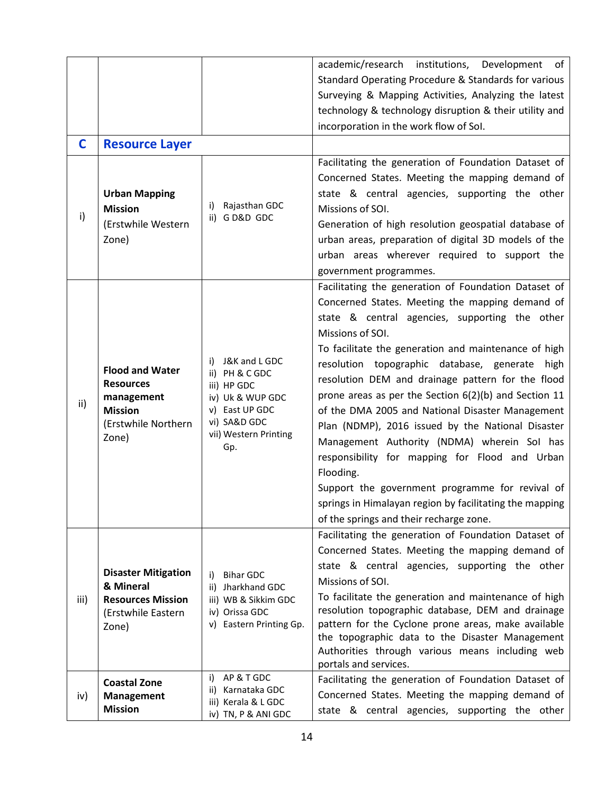| C    | <b>Resource Layer</b>                                                                                      |                                                                                                                                            | academic/research<br>institutions,<br>Development<br>of<br>Standard Operating Procedure & Standards for various<br>Surveying & Mapping Activities, Analyzing the latest<br>technology & technology disruption & their utility and<br>incorporation in the work flow of Sol.                                                                                                                                                                                                                                                                                                                                                                                                                                                                                                           |
|------|------------------------------------------------------------------------------------------------------------|--------------------------------------------------------------------------------------------------------------------------------------------|---------------------------------------------------------------------------------------------------------------------------------------------------------------------------------------------------------------------------------------------------------------------------------------------------------------------------------------------------------------------------------------------------------------------------------------------------------------------------------------------------------------------------------------------------------------------------------------------------------------------------------------------------------------------------------------------------------------------------------------------------------------------------------------|
|      |                                                                                                            |                                                                                                                                            | Facilitating the generation of Foundation Dataset of                                                                                                                                                                                                                                                                                                                                                                                                                                                                                                                                                                                                                                                                                                                                  |
| i)   | <b>Urban Mapping</b><br><b>Mission</b><br>(Erstwhile Western<br>Zone)                                      | Rajasthan GDC<br>i)<br>ii) G D&D GDC                                                                                                       | Concerned States. Meeting the mapping demand of<br>state & central agencies, supporting the other<br>Missions of SOI.<br>Generation of high resolution geospatial database of<br>urban areas, preparation of digital 3D models of the<br>urban areas wherever required to support the<br>government programmes.                                                                                                                                                                                                                                                                                                                                                                                                                                                                       |
| ii)  | <b>Flood and Water</b><br><b>Resources</b><br>management<br><b>Mission</b><br>(Erstwhile Northern<br>Zone) | J&K and L GDC<br>i)<br>ii) PH & C GDC<br>iii) HP GDC<br>iv) Uk & WUP GDC<br>v) East UP GDC<br>vi) SA&D GDC<br>vii) Western Printing<br>Gp. | Facilitating the generation of Foundation Dataset of<br>Concerned States. Meeting the mapping demand of<br>state & central agencies, supporting the other<br>Missions of SOI.<br>To facilitate the generation and maintenance of high<br>resolution topographic database, generate high<br>resolution DEM and drainage pattern for the flood<br>prone areas as per the Section 6(2)(b) and Section 11<br>of the DMA 2005 and National Disaster Management<br>Plan (NDMP), 2016 issued by the National Disaster<br>Management Authority (NDMA) wherein Sol has<br>responsibility for mapping for Flood and Urban<br>Flooding.<br>Support the government programme for revival of<br>springs in Himalayan region by facilitating the mapping<br>of the springs and their recharge zone. |
| iii) | <b>Disaster Mitigation</b><br>& Mineral<br><b>Resources Mission</b><br>(Erstwhile Eastern<br>Zone)         | <b>Bihar GDC</b><br>i)<br>ii) Jharkhand GDC<br>iii) WB & Sikkim GDC<br>iv) Orissa GDC<br>v) Eastern Printing Gp.                           | Facilitating the generation of Foundation Dataset of<br>Concerned States. Meeting the mapping demand of<br>state & central agencies, supporting the other<br>Missions of SOI.<br>To facilitate the generation and maintenance of high<br>resolution topographic database, DEM and drainage<br>pattern for the Cyclone prone areas, make available<br>the topographic data to the Disaster Management<br>Authorities through various means including web<br>portals and services.                                                                                                                                                                                                                                                                                                      |
| iv)  | <b>Coastal Zone</b><br><b>Management</b><br><b>Mission</b>                                                 | AP & T GDC<br>i)<br>ii) Karnataka GDC<br>iii) Kerala & L GDC<br>iv) TN, P & ANI GDC                                                        | Facilitating the generation of Foundation Dataset of<br>Concerned States. Meeting the mapping demand of<br>state & central agencies, supporting the other                                                                                                                                                                                                                                                                                                                                                                                                                                                                                                                                                                                                                             |